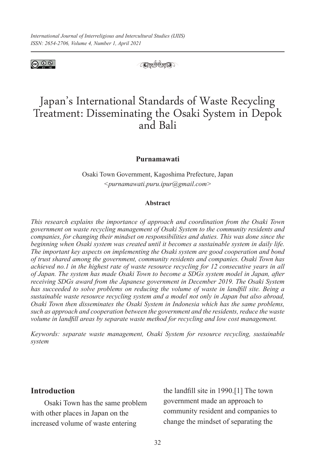

 $(C_0 \otimes C_1)$ 

# Japan's International Standards of Waste Recycling Treatment: Disseminating the Osaki System in Depok and Bali

#### **Purnamawati**

Osaki Town Government, Kagoshima Prefecture, Japan *<purnamawati.puru.ipur@gmail.com>*

#### **Abstract**

*This research explains the importance of approach and coordination from the Osaki Town government on waste recycling management of Osaki System to the community residents and companies, for changing their mindset on responsibilities and duties. This was done since the beginning when Osaki system was created until it becomes a sustainable system in daily life. The important key aspects on implementing the Osaki system are good cooperation and bond of trust shared among the government, community residents and companies. Osaki Town has achieved no.1 in the highest rate of waste resource recycling for 12 consecutive years in all of Japan. The system has made Osaki Town to become a SDGs system model in Japan, after receiving SDGs award from the Japanese government in December 2019. The Osaki System has succeeded to solve problems on reducing the volume of waste in landfill site. Being a sustainable waste resource recycling system and a model not only in Japan but also abroad, Osaki Town then disseminates the Osaki System in Indonesia which has the same problems, such as approach and cooperation between the government and the residents, reduce the waste volume in landfill areas by separate waste method for recycling and low cost management.*

*Keywords: separate waste management, Osaki System for resource recycling, sustainable system*

## **Introduction**

Osaki Town has the same problem with other places in Japan on the increased volume of waste entering

the landfill site in 1990.[1] The town government made an approach to community resident and companies to change the mindset of separating the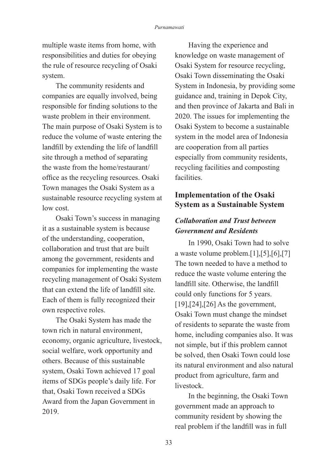multiple waste items from home, with responsibilities and duties for obeying the rule of resource recycling of Osaki system.

The community residents and companies are equally involved, being responsible for finding solutions to the waste problem in their environment. The main purpose of Osaki System is to reduce the volume of waste entering the landfill by extending the life of landfill site through a method of separating the waste from the home/restaurant/ office as the recycling resources. Osaki Town manages the Osaki System as a sustainable resource recycling system at low cost.

Osaki Town's success in managing it as a sustainable system is because of the understanding, cooperation, collaboration and trust that are built among the government, residents and companies for implementing the waste recycling management of Osaki System that can extend the life of landfill site. Each of them is fully recognized their own respective roles.

The Osaki System has made the town rich in natural environment, economy, organic agriculture, livestock, social welfare, work opportunity and others. Because of this sustainable system, Osaki Town achieved 17 goal items of SDGs people's daily life. For that, Osaki Town received a SDGs Award from the Japan Government in 2019.

Having the experience and knowledge on waste management of Osaki System for resource recycling, Osaki Town disseminating the Osaki System in Indonesia, by providing some guidance and, training in Depok City, and then province of Jakarta and Bali in 2020. The issues for implementing the Osaki System to become a sustainable system in the model area of Indonesia are cooperation from all parties especially from community residents, recycling facilities and composting facilities.

## **Implementation of the Osaki System as a Sustainable System**

## *Collaboration and Trust between Government and Residents*

In 1990, Osaki Town had to solve a waste volume problem.[1],[5],[6],[7] The town needed to have a method to reduce the waste volume entering the landfill site. Otherwise, the landfill could only functions for 5 years. [19], [24], [26] As the government, Osaki Town must change the mindset of residents to separate the waste from home, including companies also. It was not simple, but if this problem cannot be solved, then Osaki Town could lose its natural environment and also natural product from agriculture, farm and livestock.

In the beginning, the Osaki Town government made an approach to community resident by showing the real problem if the landfill was in full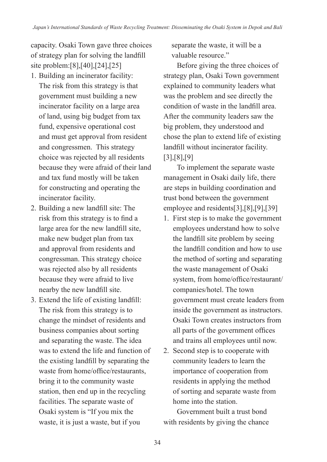capacity. Osaki Town gave three choices of strategy plan for solving the landfill site problem:[8],[40],[24],[25]

- 1. Building an incinerator facility: The risk from this strategy is that government must building a new incinerator facility on a large area of land, using big budget from tax fund, expensive operational cost and must get approval from resident and congressmen. This strategy choice was rejected by all residents because they were afraid of their land and tax fund mostly will be taken for constructing and operating the incinerator facility.
- 2. Building a new landfill site: The risk from this strategy is to find a large area for the new landfill site, make new budget plan from tax and approval from residents and congressman. This strategy choice was rejected also by all residents because they were afraid to live nearby the new landfill site.
- 3. Extend the life of existing landfill: The risk from this strategy is to change the mindset of residents and business companies about sorting and separating the waste. The idea was to extend the life and function of the existing landfill by separating the waste from home/office/restaurants, bring it to the community waste station, then end up in the recycling facilities. The separate waste of Osaki system is "If you mix the waste, it is just a waste, but if you

separate the waste, it will be a valuable resource."

Before giving the three choices of strategy plan, Osaki Town government explained to community leaders what was the problem and see directly the condition of waste in the landfill area. After the community leaders saw the big problem, they understood and chose the plan to extend life of existing landfill without incinerator facility. [3],[8],[9]

To implement the separate waste management in Osaki daily life, there are steps in building coordination and trust bond between the government employee and residents[3],[8],[9],[39]

- 1. First step is to make the government employees understand how to solve the landfill site problem by seeing the landfill condition and how to use the method of sorting and separating the waste management of Osaki system, from home/office/restaurant/ companies/hotel. The town government must create leaders from inside the government as instructors. Osaki Town creates instructors from all parts of the government offices and trains all employees until now.
- 2. Second step is to cooperate with community leaders to learn the importance of cooperation from residents in applying the method of sorting and separate waste from home into the station.

Government built a trust bond with residents by giving the chance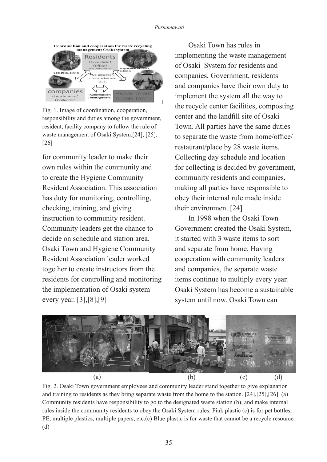

Fig. 1. Image of coordination, cooperation, responsibility and duties among the government, resident, facility company to follow the rule of waste management of Osaki System.[24], [25], [26]

for community leader to make their own rules within the community and to create the Hygiene Community Resident Association. This association has duty for monitoring, controlling, checking, training, and giving instruction to community resident. Community leaders get the chance to decide on schedule and station area. Osaki Town and Hygiene Community Resident Association leader worked together to create instructors from the residents for controlling and monitoring the implementation of Osaki system every year. [3],[8],[9]

Osaki Town has rules in implementing the waste management of Osaki System for residents and companies. Government, residents and companies have their own duty to implement the system all the way to the recycle center facilities, composting center and the landfill site of Osaki Town. All parties have the same duties to separate the waste from home/office/ restaurant/place by 28 waste items. Collecting day schedule and location for collecting is decided by government, community residents and companies, making all parties have responsible to obey their internal rule made inside their environment.[24]

In 1998 when the Osaki Town Government created the Osaki System, it started with 3 waste items to sort and separate from home. Having cooperation with community leaders and companies, the separate waste items continue to multiply every year. Osaki System has become a sustainable system until now. Osaki Town can



Fig. 2. Osaki Town government employees and community leader stand together to give explanation and training to residents as they bring separate waste from the home to the station. [24],[25],[26]. (a) Community residents have responsibility to go to the designated waste station (b), and make internal rules inside the community residents to obey the Osaki System rules. Pink plastic (c) is for pet bottles, PE, multiple plastics, multiple papers, etc.(c) Blue plastic is for waste that cannot be a recycle resource. (d)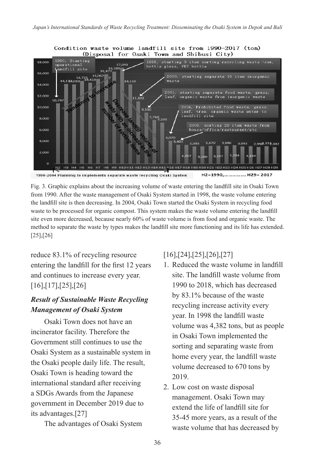

Fig. 3. Graphic explains about the increasing volume of waste entering the landfill site in Osaki Town from 1990. After the waste management of Osaki System started in 1998, the waste volume entering the landfill site is then decreasing. In 2004, Osaki Town started the Osaki System in recycling food waste to be processed for organic compost. This system makes the waste volume entering the landfill site even more decreased, because nearly 60% of waste volume is from food and organic waste. The method to separate the waste by types makes the landfill site more functioning and its life has extended. [25],[26]

reduce 83.1% of recycling resource entering the landfill for the first 12 years and continues to increase every year. [16],[17],[25],[26]

## *Result of Sustainable Waste Recycling Management of Osaki System*

Osaki Town does not have an incinerator facility. Therefore the Government still continues to use the Osaki System as a sustainable system in the Osaki people daily life. The result, Osaki Town is heading toward the international standard after receiving a SDGs Awards from the Japanese government in December 2019 due to its advantages.[27]

The advantages of Osaki System

## [16],[24],[25],[26],[27]

- 1. Reduced the waste volume in landfill site. The landfill waste volume from 1990 to 2018, which has decreased by 83.1% because of the waste recycling increase activity every year. In 1998 the landfill waste volume was 4,382 tons, but as people in Osaki Town implemented the sorting and separating waste from home every year, the landfill waste volume decreased to 670 tons by 2019.
- 2. Low cost on waste disposal management. Osaki Town may extend the life of landfill site for 35-45 more years, as a result of the waste volume that has decreased by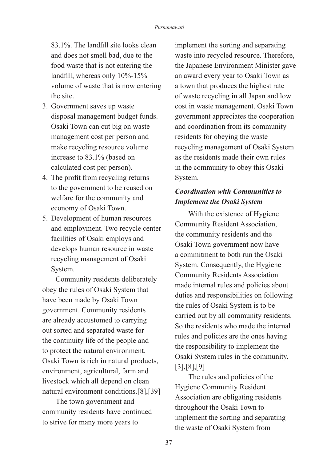83.1%. The landfill site looks clean and does not smell bad, due to the food waste that is not entering the landfill, whereas only 10%-15% volume of waste that is now entering the site.

- 3. Government saves up waste disposal management budget funds. Osaki Town can cut big on waste management cost per person and make recycling resource volume increase to 83.1% (based on calculated cost per person).
- 4. The profit from recycling returns to the government to be reused on welfare for the community and economy of Osaki Town.
- 5. Development of human resources and employment. Two recycle center facilities of Osaki employs and develops human resource in waste recycling management of Osaki System.

Community residents deliberately obey the rules of Osaki System that have been made by Osaki Town government. Community residents are already accustomed to carrying out sorted and separated waste for the continuity life of the people and to protect the natural environment. Osaki Town is rich in natural products, environment, agricultural, farm and livestock which all depend on clean natural environment conditions.[8],[39]

The town government and community residents have continued to strive for many more years to

implement the sorting and separating waste into recycled resource. Therefore, the Japanese Environment Minister gave an award every year to Osaki Town as a town that produces the highest rate of waste recycling in all Japan and low cost in waste management. Osaki Town government appreciates the cooperation and coordination from its community residents for obeying the waste recycling management of Osaki System as the residents made their own rules in the community to obey this Osaki System.

## *Coordination with Communities to Implement the Osaki System*

With the existence of Hygiene Community Resident Association, the community residents and the Osaki Town government now have a commitment to both run the Osaki System. Consequently, the Hygiene Community Residents Association made internal rules and policies about duties and responsibilities on following the rules of Osaki System is to be carried out by all community residents. So the residents who made the internal rules and policies are the ones having the responsibility to implement the Osaki System rules in the community. [3],[8],[9]

The rules and policies of the Hygiene Community Resident Association are obligating residents throughout the Osaki Town to implement the sorting and separating the waste of Osaki System from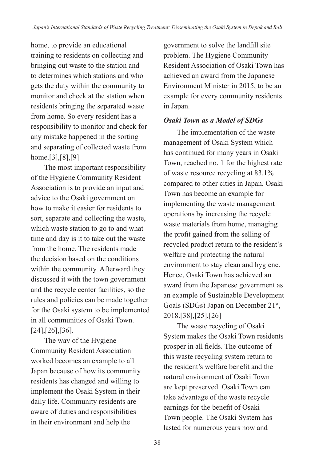home, to provide an educational training to residents on collecting and bringing out waste to the station and to determines which stations and who gets the duty within the community to monitor and check at the station when residents bringing the separated waste from home. So every resident has a responsibility to monitor and check for any mistake happened in the sorting and separating of collected waste from home.[3],[8],[9]

The most important responsibility of the Hygiene Community Resident Association is to provide an input and advice to the Osaki government on how to make it easier for residents to sort, separate and collecting the waste, which waste station to go to and what time and day is it to take out the waste from the home. The residents made the decision based on the conditions within the community. Afterward they discussed it with the town government and the recycle center facilities, so the rules and policies can be made together for the Osaki system to be implemented in all communities of Osaki Town. [24],[26],[36].

The way of the Hygiene Community Resident Association worked becomes an example to all Japan because of how its community residents has changed and willing to implement the Osaki System in their daily life. Community residents are aware of duties and responsibilities in their environment and help the

government to solve the landfill site problem. The Hygiene Community Resident Association of Osaki Town has achieved an award from the Japanese Environment Minister in 2015, to be an example for every community residents in Japan.

## *Osaki Town as a Model of SDGs*

The implementation of the waste management of Osaki System which has continued for many years in Osaki Town, reached no. 1 for the highest rate of waste resource recycling at 83.1% compared to other cities in Japan. Osaki Town has become an example for implementing the waste management operations by increasing the recycle waste materials from home, managing the profit gained from the selling of recycled product return to the resident's welfare and protecting the natural environment to stay clean and hygiene. Hence, Osaki Town has achieved an award from the Japanese government as an example of Sustainable Development Goals (SDGs) Japan on December 21<sup>st</sup>, 2018.[38],[25],[26]

The waste recycling of Osaki System makes the Osaki Town residents prosper in all fields. The outcome of this waste recycling system return to the resident's welfare benefit and the natural environment of Osaki Town are kept preserved. Osaki Town can take advantage of the waste recycle earnings for the benefit of Osaki Town people. The Osaki System has lasted for numerous years now and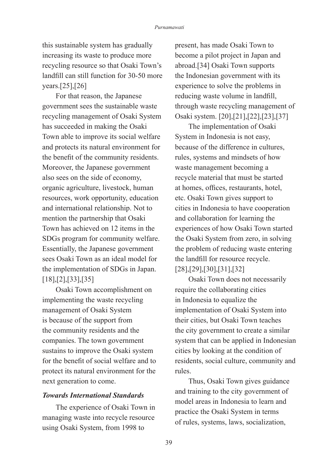this sustainable system has gradually increasing its waste to produce more recycling resource so that Osaki Town's landfill can still function for 30-50 more years.[25],[26]

For that reason, the Japanese government sees the sustainable waste recycling management of Osaki System has succeeded in making the Osaki Town able to improve its social welfare and protects its natural environment for the benefit of the community residents. Moreover, the Japanese government also sees on the side of economy, organic agriculture, livestock, human resources, work opportunity, education and international relationship. Not to mention the partnership that Osaki Town has achieved on 12 items in the SDGs program for community welfare. Essentially, the Japanese government sees Osaki Town as an ideal model for the implementation of SDGs in Japan. [18],[2],[33],[35]

Osaki Town accomplishment on implementing the waste recycling management of Osaki System is because of the support from the community residents and the companies. The town government sustains to improve the Osaki system for the benefit of social welfare and to protect its natural environment for the next generation to come.

### *Towards International Standards*

The experience of Osaki Town in managing waste into recycle resource using Osaki System, from 1998 to

present, has made Osaki Town to become a pilot project in Japan and abroad.[34] Osaki Town supports the Indonesian government with its experience to solve the problems in reducing waste volume in landfill, through waste recycling management of Osaki system. [20],[21],[22],[23],[37]

The implementation of Osaki System in Indonesia is not easy, because of the difference in cultures, rules, systems and mindsets of how waste management becoming a recycle material that must be started at homes, offices, restaurants, hotel, etc. Osaki Town gives support to cities in Indonesia to have cooperation and collaboration for learning the experiences of how Osaki Town started the Osaki System from zero, in solving the problem of reducing waste entering the landfill for resource recycle. [28],[29],[30],[31],[32]

Osaki Town does not necessarily require the collaborating cities in Indonesia to equalize the implementation of Osaki System into their cities, but Osaki Town teaches the city government to create a similar system that can be applied in Indonesian cities by looking at the condition of residents, social culture, community and rules.

Thus, Osaki Town gives guidance and training to the city government of model areas in Indonesia to learn and practice the Osaki System in terms of rules, systems, laws, socialization,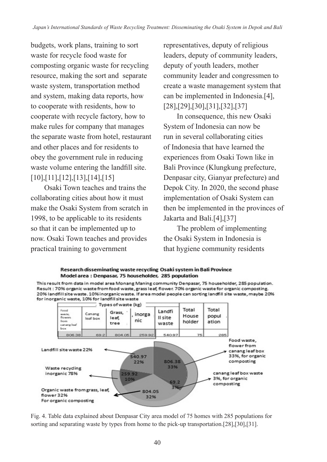budgets, work plans, training to sort waste for recycle food waste for composting organic waste for recycling resource, making the sort and separate waste system, transportation method and system, making data reports, how to cooperate with residents, how to cooperate with recycle factory, how to make rules for company that manages the separate waste from hotel, restaurant and other places and for residents to obey the government rule in reducing waste volume entering the landfill site. [10],[11],[12],[13],[14],[15]

Osaki Town teaches and trains the collaborating cities about how it must make the Osaki System from scratch in 1998, to be applicable to its residents so that it can be implemented up to now. Osaki Town teaches and provides practical training to government

representatives, deputy of religious leaders, deputy of community leaders, deputy of youth leaders, mother community leader and congressmen to create a waste management system that can be implemented in Indonesia.[4], [28],[29],[30],[31],[32],[37]

In consequence, this new Osaki System of Indonesia can now be run in several collaborating cities of Indonesia that have learned the experiences from Osaki Town like in Bali Province (Klungkung prefecture, Denpasar city, Gianyar prefecture) and Depok City. In 2020, the second phase implementation of Osaki System can then be implemented in the provinces of Jakarta and Bali.[4],[37]

The problem of implementing the Osaki System in Indonesia is that hygiene community residents



This result from data in model area Monang Maning community Denpasar, 75 householder, 285 population. Result : 70% organic waste from food waste, grass leaf, flower. 70% organic waste for organic composting. 20% landfill site waste. 10% inorganic waste. If are a model people can sorting landfill site waste, maybe 20% for inorganic waste, 10% for landfill site waste



Fig. 4. Table data explained about Denpasar City area model of 75 homes with 285 populations for sorting and separating waste by types from home to the pick-up transportation.[28],[30],[31].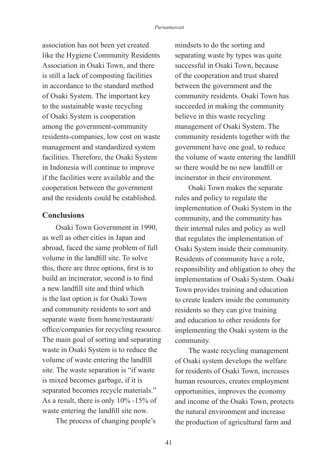association has not been yet created like the Hygiene Community Residents Association in Osaki Town, and there is still a lack of composting facilities in accordance to the standard method of Osaki System. The important key to the sustainable waste recycling of Osaki System is cooperation among the government-community residents-companies, low cost on waste management and standardized system facilities. Therefore, the Osaki System in Indonesia will continue to improve if the facilities were available and the cooperation between the government and the residents could be established.

### **Conclusions**

Osaki Town Government in 1990, as well as other cities in Japan and abroad, faced the same problem of full volume in the landfill site. To solve this, there are three options, first is to build an incinerator, second is to find a new landfill site and third which is the last option is for Osaki Town and community residents to sort and separate waste from home/restaurant/ office/companies for recycling resource. The main goal of sorting and separating waste in Osaki System is to reduce the volume of waste entering the landfill site. The waste separation is "if waste is mixed becomes garbage, if it is separated becomes recycle materials." As a result, there is only 10% -15% of waste entering the landfill site now.

The process of changing people's

mindsets to do the sorting and separating waste by types was quite successful in Osaki Town, because of the cooperation and trust shared between the government and the community residents. Osaki Town has succeeded in making the community believe in this waste recycling management of Osaki System. The community residents together with the government have one goal, to reduce the volume of waste entering the landfill so there would be no new landfill or incinerator in their environment.

Osaki Town makes the separate rules and policy to regulate the implementation of Osaki System in the community, and the community has their internal rules and policy as well that regulates the implementation of Osaki System inside their community. Residents of community have a role, responsibility and obligation to obey the implementation of Osaki System. Osaki Town provides training and education to create leaders inside the community residents so they can give training and education to other residents for implementing the Osaki system in the community.

The waste recycling management of Osaki system develops the welfare for residents of Osaki Town, increases human resources, creates employment opportunities, improves the economy and income of the Osaki Town, protects the natural environment and increase the production of agricultural farm and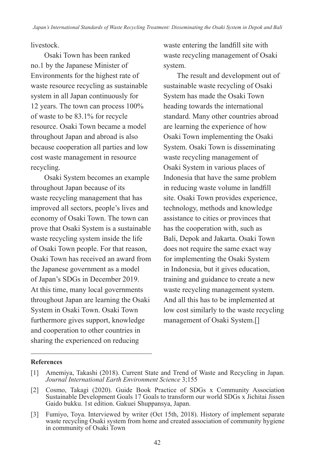livestock.

Osaki Town has been ranked no.1 by the Japanese Minister of Environments for the highest rate of waste resource recycling as sustainable system in all Japan continuously for 12 years. The town can process 100% of waste to be 83.1% for recycle resource. Osaki Town became a model throughout Japan and abroad is also because cooperation all parties and low cost waste management in resource recycling.

Osaki System becomes an example throughout Japan because of its waste recycling management that has improved all sectors, people's lives and economy of Osaki Town. The town can prove that Osaki System is a sustainable waste recycling system inside the life of Osaki Town people. For that reason, Osaki Town has received an award from the Japanese government as a model of Japan's SDGs in December 2019. At this time, many local governments throughout Japan are learning the Osaki System in Osaki Town. Osaki Town furthermore gives support, knowledge and cooperation to other countries in sharing the experienced on reducing

waste entering the landfill site with waste recycling management of Osaki system.

The result and development out of sustainable waste recycling of Osaki System has made the Osaki Town heading towards the international standard. Many other countries abroad are learning the experience of how Osaki Town implementing the Osaki System. Osaki Town is disseminating waste recycling management of Osaki System in various places of Indonesia that have the same problem in reducing waste volume in landfill site. Osaki Town provides experience, technology, methods and knowledge assistance to cities or provinces that has the cooperation with, such as Bali, Depok and Jakarta. Osaki Town does not require the same exact way for implementing the Osaki System in Indonesia, but it gives education, training and guidance to create a new waste recycling management system. And all this has to be implemented at low cost similarly to the waste recycling management of Osaki System.[]

#### **References**

<sup>[1]</sup> Amemiya, Takashi (2018). Current State and Trend of Waste and Recycling in Japan. *Journal International Earth Environment Science* 3;155

<sup>[2]</sup> Cosmo, Takagi (2020). Guide Book Practice of SDGs x Community Association Sustainable Development Goals 17 Goals to transform our world SDGs x Jichitai Jissen Gaido bukku. 1st edition. Gakuei Shuppansya, Japan.

<sup>[3]</sup> Fumiyo, Toya. Interviewed by writer (Oct 15th, 2018). History of implement separate waste recycling Osaki system from home and created association of community hygiene in community of Osaki Town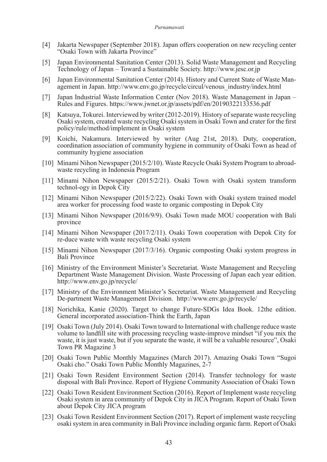#### *Purnamawati*

- [4] Jakarta Newspaper (September 2018). Japan offers cooperation on new recycling center "Osaki Town with Jakarta Province"
- [5] Japan Environmental Sanitation Center (2013). Solid Waste Management and Recycling Technology of Japan – Toward a Sustainable Society. http://www.jesc.or.jp
- [6] Japan Environmental Sanitation Center (2014). History and Current State of Waste Management in Japan. http://www.env.go.jp/recycle/circul/venous\_industry/index.html
- [7] Japan Industrial Waste Information Center (Nov 2018). Waste Management in Japan Rules and Figures. https://www.jwnet.or.jp/assets/pdf/en/20190322133536.pdf
- [8] Katsuya, Tokurei. Interviewed by writer (2012-2019). History of separate waste recycling Osaki system, created waste recycling Osaki system in Osaki Town and crater for the first policy/rule/method/implement in Osaki system
- [9] Koichi, Nakamura. Interviewed by writer (Aug 21st, 2018). Duty, cooperation, coordination association of community hygiene in community of Osaki Town as head of community hygiene association
- [10] Minami Nihon Newspaper (2015/2/10). Waste Recycle Osaki System Program to abroadwaste recycling in Indonesia Program
- [11] Minami Nihon Newspaper (2015/2/21). Osaki Town with Osaki system transform technol-ogy in Depok City
- [12] Minami Nihon Newspaper (2015/2/22). Osaki Town with Osaki system trained model area worker for processing food waste to organic composting in Depok City
- [13] Minami Nihon Newspaper (2016/9/9). Osaki Town made MOU cooperation with Bali province
- [14] Minami Nihon Newspaper (2017/2/11). Osaki Town cooperation with Depok City for re-duce waste with waste recycling Osaki system
- [15] Minami Nihon Newspaper (2017/3/16). Organic composting Osaki system progress in Bali Province
- [16] Ministry of the Environment Minister's Secretariat. Waste Management and Recycling Department Waste Management Division. Waste Processing of Japan each year edition. http://www.env.go.jp/recycle/
- [17] Ministry of the Environment Minister's Secretariat. Waste Management and Recycling De-partment Waste Management Division. http://www.env.go.jp/recycle/
- [18] Norichika, Kanie (2020). Target to change Future-SDGs Idea Book. 12the edition. General incorporated association-Think the Earth, Japan
- [19] Osaki Town (July 2014). Osaki Town toward to International with challenge reduce waste volume to landfill site with processing recycling waste-improve mindset "if you mix the waste, it is just waste, but if you separate the waste, it will be a valuable resource", Osaki Town PR Magazine 3
- [20] Osaki Town Public Monthly Magazines (March 2017). Amazing Osaki Town "Sugoi Osaki cho." Osaki Town Public Monthly Magazines, 2-7
- [21] Osaki Town Resident Environment Section (2014). Transfer technology for waste disposal with Bali Province. Report of Hygiene Community Association of Osaki Town
- [22] Osaki Town Resident Environment Section (2016). Report of Implement waste recycling Osaki system in area community of Depok City in JICA Program. Report of Osaki Town about Depok City JICA program
- [23] Osaki Town Resident Environment Section (2017). Report of implement waste recycling osaki system in area community in Bali Province including organic farm. Report of Osaki